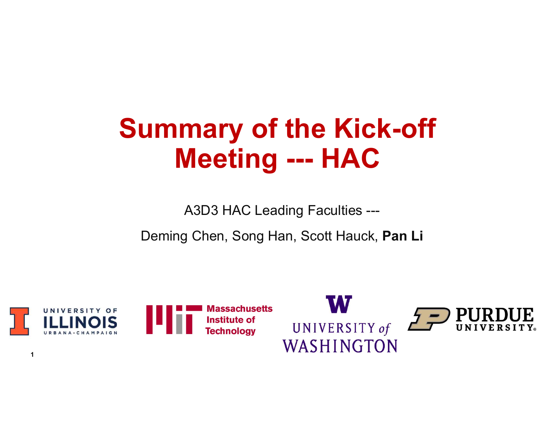# **Summary of the Kick-off<br>Meeting --- HAC** mary of the Kick-off<br>Meeting --- HAC<br>A<sup>2D3 HAC Loctics Eccutios</sup> **mary of the Kick-off<br>Meeting --- HAC**<br>A3D3 HAC Leading Faculties --<br>J Chen, Song Han, Scott Hauck, Pan Li

Deming Chen, Song Han, Scott Hauck, Pan Li

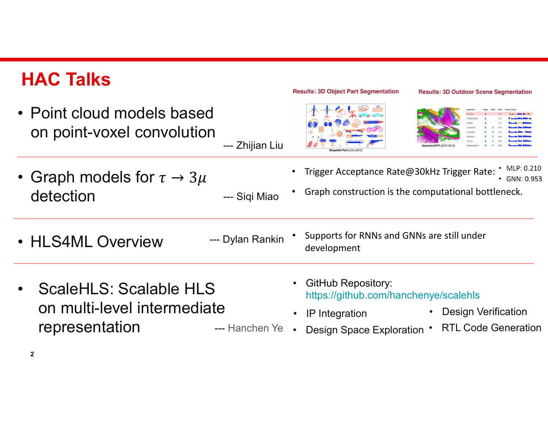# HAC Talks

| <b>HAC Talks</b>                                                                                                                | <b>Results: 3D Object Part Segmentation</b><br><b>Results: 3D Outdoor Scene Segmentation</b>                                                                                                                    |
|---------------------------------------------------------------------------------------------------------------------------------|-----------------------------------------------------------------------------------------------------------------------------------------------------------------------------------------------------------------|
| • Point cloud models based<br>on point-voxel convolution<br>--- Zhijian Liu                                                     |                                                                                                                                                                                                                 |
| • Graph models for $\tau \to 3\mu$<br>detection<br>--- Siqi Miao                                                                | MLP: 0.210<br>Trigger Acceptance Rate@30kHz Trigger Rate:<br>$\cdot$ GNN: 0.953<br>Graph construction is the computational bottleneck.                                                                          |
| --- Dylan Rankin<br>HLS4ML<br><b>Overview</b>                                                                                   | Supports for RNNs and GNNs are still under<br>development                                                                                                                                                       |
| <b>ScaleHLS: Scalable HLS</b><br>$\bullet$<br>on multi-level intermediate<br>representation<br>--- Hanchen Ye .<br>$\mathbf{2}$ | <b>GitHub Repository:</b><br>https://github.com/hanchenye/scalehls<br><b>Design Verification</b><br>$\bullet$<br><b>IP</b> Integration<br>$\bullet$<br><b>RTL Code Generation</b><br>Design Space Exploration . |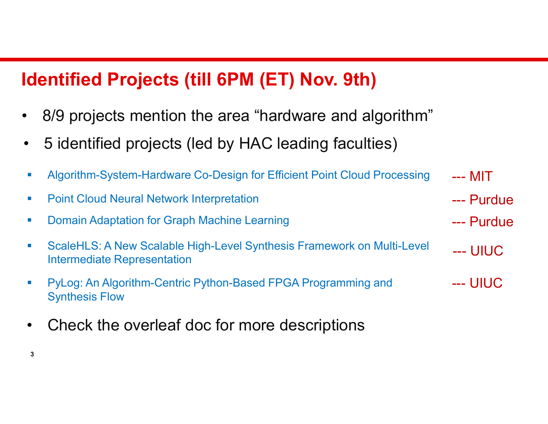## Identified Projects (till 6PM (ET) Nov. 9th)

- **Identified Projects (till 6PM (ET) Nov. 9th)**<br>• 8/9 projects mention the area "hardware and algorithm"<br>• 5 identified projects (led by HAC leading faculties) **Identified Projects (till 6PM (ET) Nov. 9th)**<br>• 8/9 projects mention the area "hardware and algorithm"<br>• 5 identified projects (led by HAC leading faculties)<br>• Algorithm-System-Hardware Co-Design for Efficient Point Cloud
- 

- **Point Cloud Neural Network Interpretation** --- MIT<br>--- MIT<br>--- Purdue<br>--- Purdue --- MIT<br>--- MIT<br>--- Purdue<br>--- Purdue
- 

 $3 \overline{3}$ 

- **dentified Projects (till 6PM (ET) Nov. 9th)**<br>
8/9 projects mention the area "hardware and algorith<br>
5 identified projects (led by HAC leading faculties)<br>
Algorithm-System-Hardware Co-Design for Efficient Point Cloud Proce ■ ScaleHLS: A New Scalable High-Level Synthesis Framework on Multi-Level <sub>---</sub> UIUC Intermediate Representation --- MIT<br>--- Purdue<br>--- Purdue<br>--- UIUC --- MIT<br>--- Purdue<br>--- Purdue<br>--- UIUC<br>--- UIUC
- PyLog: An Algorithm-Centric Python-Based FPGA Programming and Synthesis Flow --- MIT<br>--- Purdue<br>--- Purdue<br>--- UIUC<br>--- UIUC • Algorithm-System-Hardware Co-Design for Efficient Point Cloure<br>• Point Cloud Neural Network Interpretation<br>• Domain Adaptation for Graph Machine Learning<br>• ScaleHLS: A New Scalable High-Level Synthesis Framework of<br>• PyL
-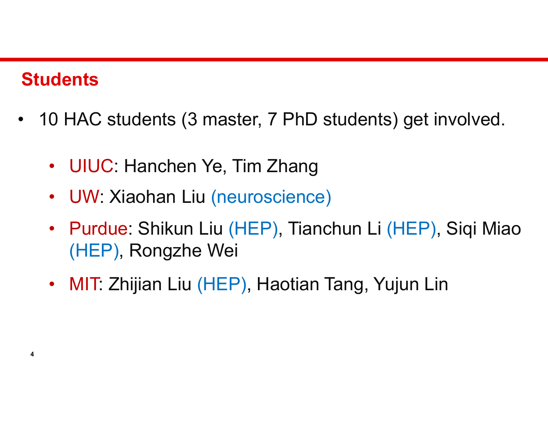## **Students**

- 10 HAC students (3 master, 7 PhD students) get involved. valdents<br>19 HAC students (3 master, 7 PhD students) get<br>19 UIUC: Hanchen Ye, Tim Zhang<br>19 UW: Xiaohan Liu (neuroscience)
	-
	-
	- dents<br>
	0 HAC students (3 master, 7 PhD students) <sub>(</sub><br>
	 UIUC: Hanchen Ye, Tim Zhang<br>
	 UW: Xiaohan Liu (neuroscience)<br>
	 Purdue: Shikun Liu (HEP), Tianchun Li (HI valimistade (S. material of HAC students (S. material of HAC students (S. material of HAC students ) get involved.<br>• UIUC: Hanchen Ye, Tim Zhang<br>• UW: Xiaohan Liu (neuroscience)<br>• Purdue: Shikun Liu (HEP), Tianchun Li (HEP (HEP), Rongzhe Wei 9 HAC students (3 master, 7 PhD students) get in<br>• UIUC: Hanchen Ye, Tim Zhang<br>• UW: Xiaohan Liu (neuroscience)<br>• Purdue: Shikun Liu (HEP), Tianchun Li (HEP), 8<br>(HEP), Rongzhe Wei<br>• MIT: Zhijian Liu (HEP), Haotian Tang, Yu
	-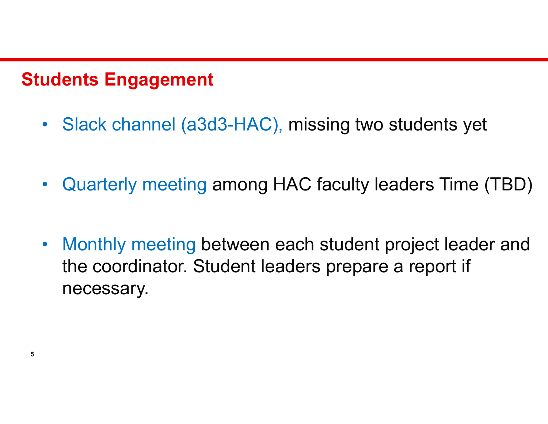### Students Engagement

- udents Engagement<br>• Slack channel (a3d3-HAC), missing two students yet
- udents Engagement<br>• Slack channel (a3d3-HAC), missing two students yet<br>• Quarterly meeting among HAC faculty leaders Time (TBD)
- verther Slack channel (a3d3-HAC), missing two students yet<br>
 Guarterly meeting among HAC faculty leaders Time (TBD)<br>
 Monthly meeting between each student project leader and<br>
the coordinator. Student leaders prepare a re the coordinator. Student leaders prepare a report if necessary.